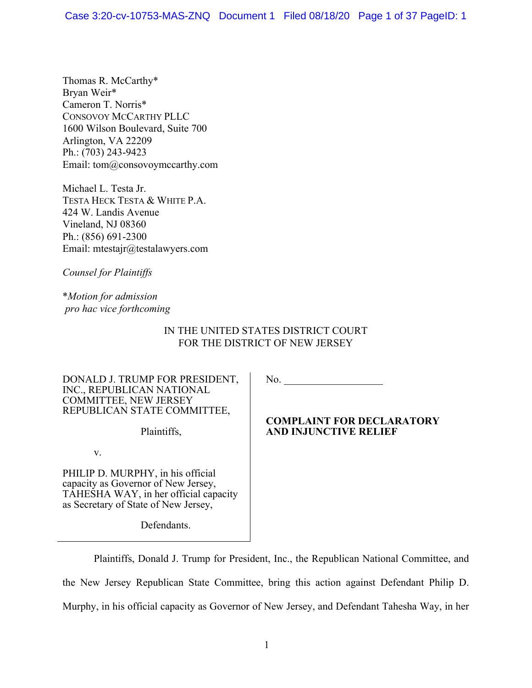Thomas R. McCarthy\* Bryan Weir\* Cameron T. Norris\* CONSOVOY MCCARTHY PLLC 1600 Wilson Boulevard, Suite 700 Arlington, VA 22209 Ph.: (703) 243-9423 Email: tom@consovoymccarthy.com

Michael L. Testa Jr. TESTA HECK TESTA & WHITE P.A. 424 W. Landis Avenue Vineland, NJ 08360 Ph.: (856) 691-2300 Email: mtestajr@testalawyers.com

*Counsel for Plaintiffs*

\**Motion for admission pro hac vice forthcoming*

# IN THE UNITED STATES DISTRICT COURT FOR THE DISTRICT OF NEW JERSEY

DONALD J. TRUMP FOR PRESIDENT, INC., REPUBLICAN NATIONAL COMMITTEE, NEW JERSEY REPUBLICAN STATE COMMITTEE,

Plaintiffs,

v.

PHILIP D. MURPHY, in his official capacity as Governor of New Jersey, TAHESHA WAY, in her official capacity as Secretary of State of New Jersey,

Defendants.

No. \_\_\_\_\_\_\_\_\_\_\_\_\_\_\_\_\_\_\_

## **COMPLAINT FOR DECLARATORY AND INJUNCTIVE RELIEF**

Plaintiffs, Donald J. Trump for President, Inc., the Republican National Committee, and the New Jersey Republican State Committee, bring this action against Defendant Philip D. Murphy, in his official capacity as Governor of New Jersey, and Defendant Tahesha Way, in her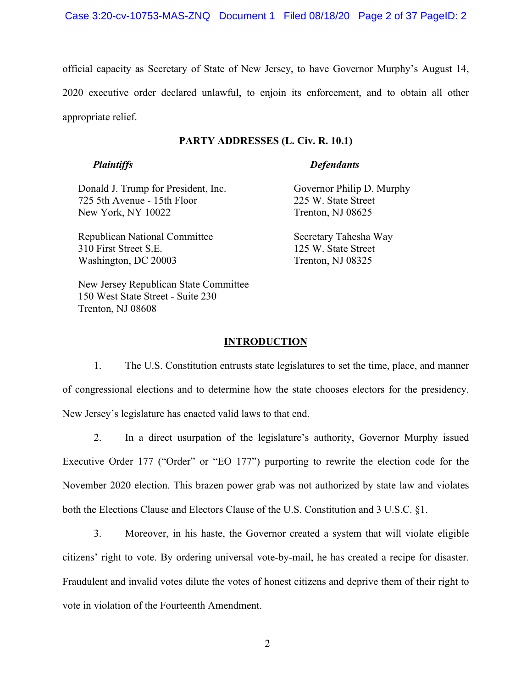official capacity as Secretary of State of New Jersey, to have Governor Murphy's August 14, 2020 executive order declared unlawful, to enjoin its enforcement, and to obtain all other appropriate relief.

## **PARTY ADDRESSES (L. Civ. R. 10.1)**

## *Plaintiffs*

## *Defendants*

Donald J. Trump for President, Inc. 725 5th Avenue - 15th Floor New York, NY 10022

Republican National Committee 310 First Street S.E. Washington, DC 20003

New Jersey Republican State Committee 150 West State Street - Suite 230 Trenton, NJ 08608

Governor Philip D. Murphy 225 W. State Street Trenton, NJ 08625

Secretary Tahesha Way 125 W. State Street Trenton, NJ 08325

## **INTRODUCTION**

1. The U.S. Constitution entrusts state legislatures to set the time, place, and manner of congressional elections and to determine how the state chooses electors for the presidency. New Jersey's legislature has enacted valid laws to that end.

2. In a direct usurpation of the legislature's authority, Governor Murphy issued Executive Order 177 ("Order" or "EO 177") purporting to rewrite the election code for the November 2020 election. This brazen power grab was not authorized by state law and violates both the Elections Clause and Electors Clause of the U.S. Constitution and 3 U.S.C. §1.

3. Moreover, in his haste, the Governor created a system that will violate eligible citizens' right to vote. By ordering universal vote-by-mail, he has created a recipe for disaster. Fraudulent and invalid votes dilute the votes of honest citizens and deprive them of their right to vote in violation of the Fourteenth Amendment.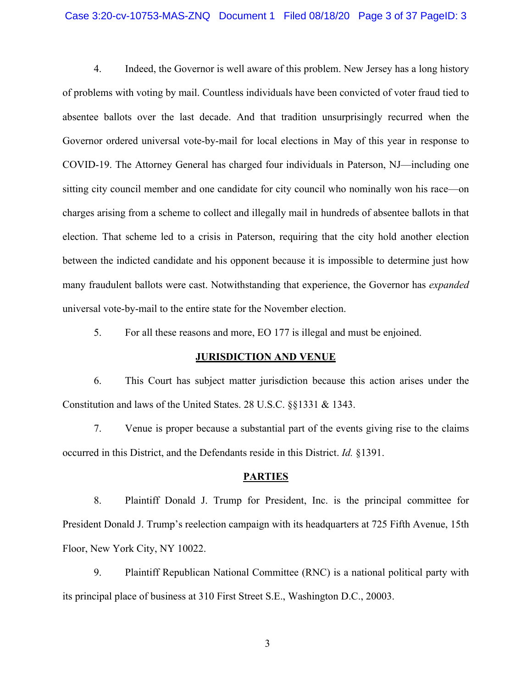## Case 3:20-cv-10753-MAS-ZNQ Document 1 Filed 08/18/20 Page 3 of 37 PageID: 3

4. Indeed, the Governor is well aware of this problem. New Jersey has a long history of problems with voting by mail. Countless individuals have been convicted of voter fraud tied to absentee ballots over the last decade. And that tradition unsurprisingly recurred when the Governor ordered universal vote-by-mail for local elections in May of this year in response to COVID-19. The Attorney General has charged four individuals in Paterson, NJ—including one sitting city council member and one candidate for city council who nominally won his race—on charges arising from a scheme to collect and illegally mail in hundreds of absentee ballots in that election. That scheme led to a crisis in Paterson, requiring that the city hold another election between the indicted candidate and his opponent because it is impossible to determine just how many fraudulent ballots were cast. Notwithstanding that experience, the Governor has *expanded* universal vote-by-mail to the entire state for the November election.

5. For all these reasons and more, EO 177 is illegal and must be enjoined.

## **JURISDICTION AND VENUE**

6. This Court has subject matter jurisdiction because this action arises under the Constitution and laws of the United States. 28 U.S.C. §§1331 & 1343.

7. Venue is proper because a substantial part of the events giving rise to the claims occurred in this District, and the Defendants reside in this District. *Id.* §1391.

#### **PARTIES**

8. Plaintiff Donald J. Trump for President, Inc. is the principal committee for President Donald J. Trump's reelection campaign with its headquarters at 725 Fifth Avenue, 15th Floor, New York City, NY 10022.

9. Plaintiff Republican National Committee (RNC) is a national political party with its principal place of business at 310 First Street S.E., Washington D.C., 20003.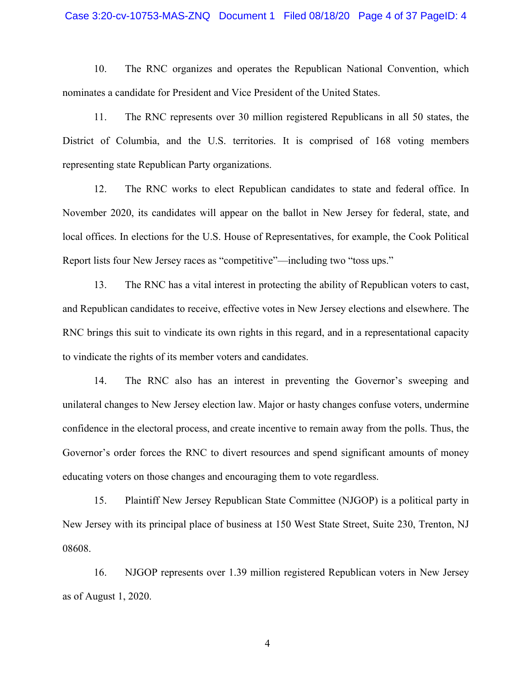## Case 3:20-cv-10753-MAS-ZNQ Document 1 Filed 08/18/20 Page 4 of 37 PageID: 4

10. The RNC organizes and operates the Republican National Convention, which nominates a candidate for President and Vice President of the United States.

11. The RNC represents over 30 million registered Republicans in all 50 states, the District of Columbia, and the U.S. territories. It is comprised of 168 voting members representing state Republican Party organizations.

12. The RNC works to elect Republican candidates to state and federal office. In November 2020, its candidates will appear on the ballot in New Jersey for federal, state, and local offices. In elections for the U.S. House of Representatives, for example, the Cook Political Report lists four New Jersey races as "competitive"—including two "toss ups."

13. The RNC has a vital interest in protecting the ability of Republican voters to cast, and Republican candidates to receive, effective votes in New Jersey elections and elsewhere. The RNC brings this suit to vindicate its own rights in this regard, and in a representational capacity to vindicate the rights of its member voters and candidates.

14. The RNC also has an interest in preventing the Governor's sweeping and unilateral changes to New Jersey election law. Major or hasty changes confuse voters, undermine confidence in the electoral process, and create incentive to remain away from the polls. Thus, the Governor's order forces the RNC to divert resources and spend significant amounts of money educating voters on those changes and encouraging them to vote regardless.

15. Plaintiff New Jersey Republican State Committee (NJGOP) is a political party in New Jersey with its principal place of business at 150 West State Street, Suite 230, Trenton, NJ 08608.

16. NJGOP represents over 1.39 million registered Republican voters in New Jersey as of August 1, 2020.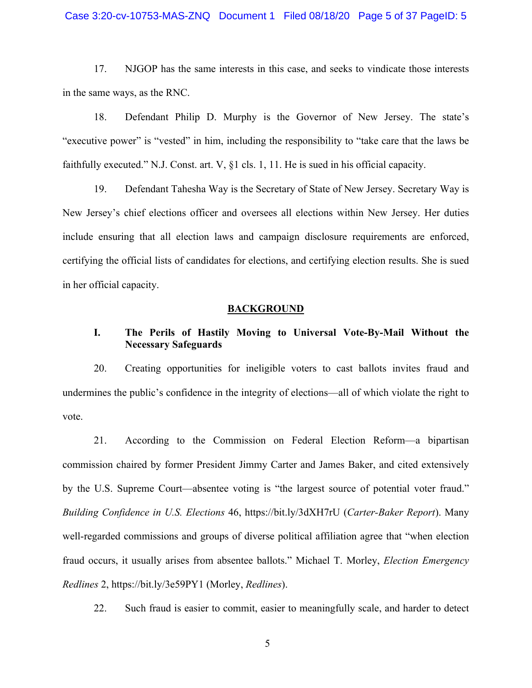## Case 3:20-cv-10753-MAS-ZNQ Document 1 Filed 08/18/20 Page 5 of 37 PageID: 5

17. NJGOP has the same interests in this case, and seeks to vindicate those interests in the same ways, as the RNC.

18. Defendant Philip D. Murphy is the Governor of New Jersey. The state's "executive power" is "vested" in him, including the responsibility to "take care that the laws be faithfully executed." N.J. Const. art. V, §1 cls. 1, 11. He is sued in his official capacity.

19. Defendant Tahesha Way is the Secretary of State of New Jersey. Secretary Way is New Jersey's chief elections officer and oversees all elections within New Jersey. Her duties include ensuring that all election laws and campaign disclosure requirements are enforced, certifying the official lists of candidates for elections, and certifying election results. She is sued in her official capacity.

### **BACKGROUND**

# **I. The Perils of Hastily Moving to Universal Vote-By-Mail Without the Necessary Safeguards**

20. Creating opportunities for ineligible voters to cast ballots invites fraud and undermines the public's confidence in the integrity of elections—all of which violate the right to vote.

21. According to the Commission on Federal Election Reform—a bipartisan commission chaired by former President Jimmy Carter and James Baker, and cited extensively by the U.S. Supreme Court—absentee voting is "the largest source of potential voter fraud." *Building Confidence in U.S. Elections* 46, https://bit.ly/3dXH7rU (*Carter-Baker Report*). Many well-regarded commissions and groups of diverse political affiliation agree that "when election fraud occurs, it usually arises from absentee ballots." Michael T. Morley, *Election Emergency Redlines* 2, https://bit.ly/3e59PY1 (Morley, *Redlines*).

22. Such fraud is easier to commit, easier to meaningfully scale, and harder to detect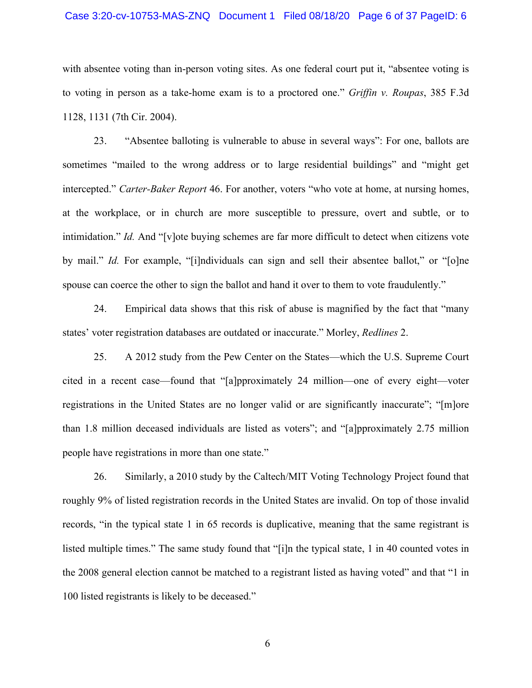## Case 3:20-cv-10753-MAS-ZNQ Document 1 Filed 08/18/20 Page 6 of 37 PageID: 6

with absentee voting than in-person voting sites. As one federal court put it, "absentee voting is to voting in person as a take-home exam is to a proctored one." *Griffin v. Roupas*, 385 F.3d 1128, 1131 (7th Cir. 2004).

23. "Absentee balloting is vulnerable to abuse in several ways": For one, ballots are sometimes "mailed to the wrong address or to large residential buildings" and "might get intercepted." *Carter-Baker Report* 46. For another, voters "who vote at home, at nursing homes, at the workplace, or in church are more susceptible to pressure, overt and subtle, or to intimidation." *Id.* And "[v]ote buying schemes are far more difficult to detect when citizens vote by mail." *Id.* For example, "[i]ndividuals can sign and sell their absentee ballot," or "[o]ne spouse can coerce the other to sign the ballot and hand it over to them to vote fraudulently."

24. Empirical data shows that this risk of abuse is magnified by the fact that "many states' voter registration databases are outdated or inaccurate." Morley, *Redlines* 2.

25. A 2012 study from the Pew Center on the States—which the U.S. Supreme Court cited in a recent case—found that "[a]pproximately 24 million—one of every eight—voter registrations in the United States are no longer valid or are significantly inaccurate"; "[m]ore than 1.8 million deceased individuals are listed as voters"; and "[a]pproximately 2.75 million people have registrations in more than one state."

26. Similarly, a 2010 study by the Caltech/MIT Voting Technology Project found that roughly 9% of listed registration records in the United States are invalid. On top of those invalid records, "in the typical state 1 in 65 records is duplicative, meaning that the same registrant is listed multiple times." The same study found that "[i]n the typical state, 1 in 40 counted votes in the 2008 general election cannot be matched to a registrant listed as having voted" and that "1 in 100 listed registrants is likely to be deceased."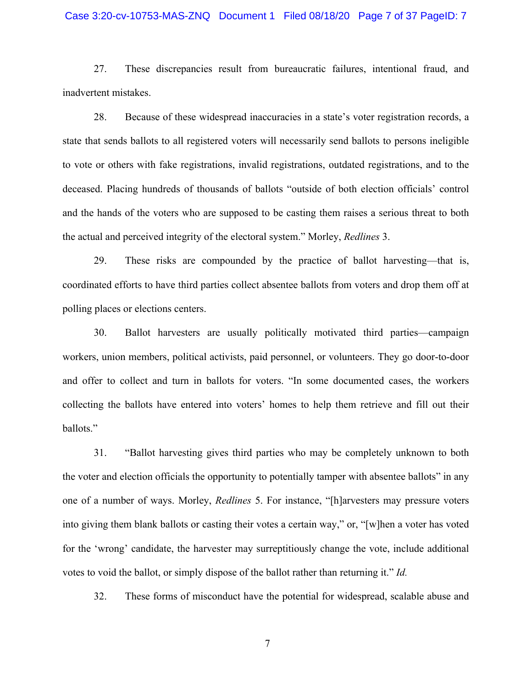## Case 3:20-cv-10753-MAS-ZNQ Document 1 Filed 08/18/20 Page 7 of 37 PageID: 7

27. These discrepancies result from bureaucratic failures, intentional fraud, and inadvertent mistakes.

28. Because of these widespread inaccuracies in a state's voter registration records, a state that sends ballots to all registered voters will necessarily send ballots to persons ineligible to vote or others with fake registrations, invalid registrations, outdated registrations, and to the deceased. Placing hundreds of thousands of ballots "outside of both election officials' control and the hands of the voters who are supposed to be casting them raises a serious threat to both the actual and perceived integrity of the electoral system." Morley, *Redlines* 3.

29. These risks are compounded by the practice of ballot harvesting—that is, coordinated efforts to have third parties collect absentee ballots from voters and drop them off at polling places or elections centers.

30. Ballot harvesters are usually politically motivated third parties—campaign workers, union members, political activists, paid personnel, or volunteers. They go door-to-door and offer to collect and turn in ballots for voters. "In some documented cases, the workers collecting the ballots have entered into voters' homes to help them retrieve and fill out their ballots."

31. "Ballot harvesting gives third parties who may be completely unknown to both the voter and election officials the opportunity to potentially tamper with absentee ballots" in any one of a number of ways. Morley, *Redlines* 5. For instance, "[h]arvesters may pressure voters into giving them blank ballots or casting their votes a certain way," or, "[w]hen a voter has voted for the 'wrong' candidate, the harvester may surreptitiously change the vote, include additional votes to void the ballot, or simply dispose of the ballot rather than returning it." *Id.*

32. These forms of misconduct have the potential for widespread, scalable abuse and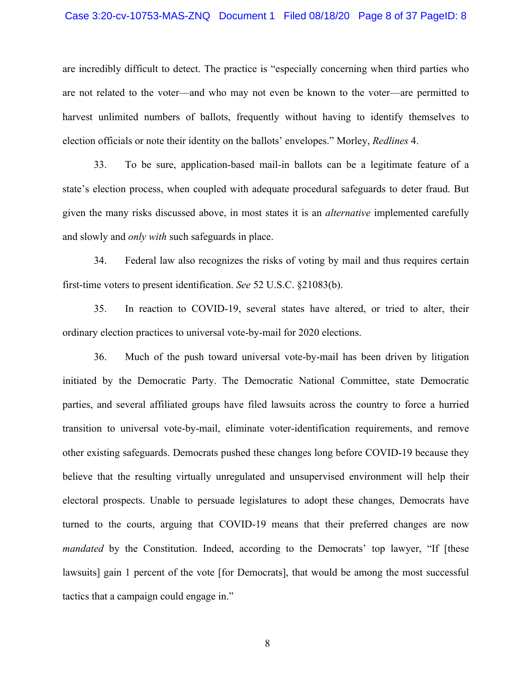### Case 3:20-cv-10753-MAS-ZNQ Document 1 Filed 08/18/20 Page 8 of 37 PageID: 8

are incredibly difficult to detect. The practice is "especially concerning when third parties who are not related to the voter—and who may not even be known to the voter—are permitted to harvest unlimited numbers of ballots, frequently without having to identify themselves to election officials or note their identity on the ballots' envelopes." Morley, *Redlines* 4.

33. To be sure, application-based mail-in ballots can be a legitimate feature of a state's election process, when coupled with adequate procedural safeguards to deter fraud. But given the many risks discussed above, in most states it is an *alternative* implemented carefully and slowly and *only with* such safeguards in place.

34. Federal law also recognizes the risks of voting by mail and thus requires certain first-time voters to present identification. *See* 52 U.S.C. §21083(b).

35. In reaction to COVID-19, several states have altered, or tried to alter, their ordinary election practices to universal vote-by-mail for 2020 elections.

36. Much of the push toward universal vote-by-mail has been driven by litigation initiated by the Democratic Party. The Democratic National Committee, state Democratic parties, and several affiliated groups have filed lawsuits across the country to force a hurried transition to universal vote-by-mail, eliminate voter-identification requirements, and remove other existing safeguards. Democrats pushed these changes long before COVID-19 because they believe that the resulting virtually unregulated and unsupervised environment will help their electoral prospects. Unable to persuade legislatures to adopt these changes, Democrats have turned to the courts, arguing that COVID-19 means that their preferred changes are now *mandated* by the Constitution. Indeed, according to the Democrats' top lawyer, "If [these lawsuits] gain 1 percent of the vote [for Democrats], that would be among the most successful tactics that a campaign could engage in."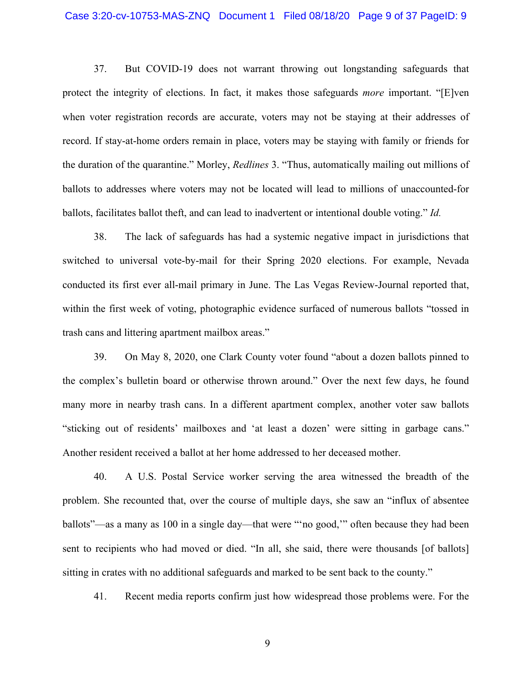37. But COVID-19 does not warrant throwing out longstanding safeguards that protect the integrity of elections. In fact, it makes those safeguards *more* important. "[E]ven when voter registration records are accurate, voters may not be staying at their addresses of record. If stay-at-home orders remain in place, voters may be staying with family or friends for the duration of the quarantine." Morley, *Redlines* 3. "Thus, automatically mailing out millions of ballots to addresses where voters may not be located will lead to millions of unaccounted-for ballots, facilitates ballot theft, and can lead to inadvertent or intentional double voting." *Id.*

38. The lack of safeguards has had a systemic negative impact in jurisdictions that switched to universal vote-by-mail for their Spring 2020 elections. For example, Nevada conducted its first ever all-mail primary in June. The Las Vegas Review-Journal reported that, within the first week of voting, photographic evidence surfaced of numerous ballots "tossed in trash cans and littering apartment mailbox areas."

39. On May 8, 2020, one Clark County voter found "about a dozen ballots pinned to the complex's bulletin board or otherwise thrown around." Over the next few days, he found many more in nearby trash cans. In a different apartment complex, another voter saw ballots "sticking out of residents' mailboxes and 'at least a dozen' were sitting in garbage cans." Another resident received a ballot at her home addressed to her deceased mother.

40. A U.S. Postal Service worker serving the area witnessed the breadth of the problem. She recounted that, over the course of multiple days, she saw an "influx of absentee ballots"—as a many as 100 in a single day—that were "'no good,'" often because they had been sent to recipients who had moved or died. "In all, she said, there were thousands [of ballots] sitting in crates with no additional safeguards and marked to be sent back to the county."

41. Recent media reports confirm just how widespread those problems were. For the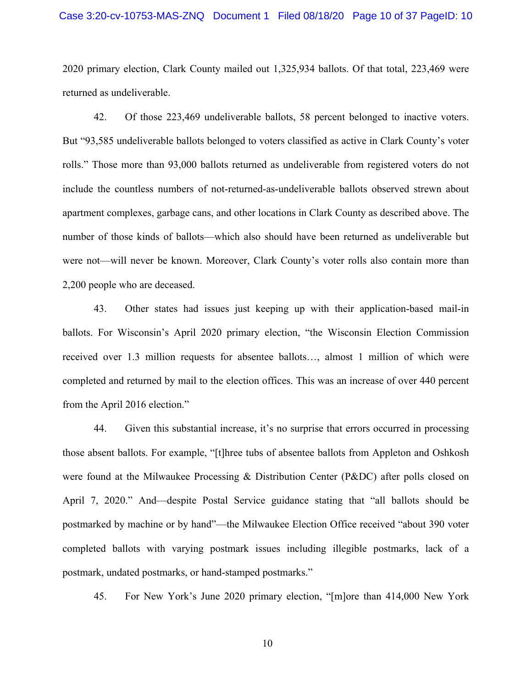### Case 3:20-cv-10753-MAS-ZNQ Document 1 Filed 08/18/20 Page 10 of 37 PageID: 10

2020 primary election, Clark County mailed out 1,325,934 ballots. Of that total, 223,469 were returned as undeliverable.

42. Of those 223,469 undeliverable ballots, 58 percent belonged to inactive voters. But "93,585 undeliverable ballots belonged to voters classified as active in Clark County's voter rolls." Those more than 93,000 ballots returned as undeliverable from registered voters do not include the countless numbers of not-returned-as-undeliverable ballots observed strewn about apartment complexes, garbage cans, and other locations in Clark County as described above. The number of those kinds of ballots—which also should have been returned as undeliverable but were not—will never be known. Moreover, Clark County's voter rolls also contain more than 2,200 people who are deceased.

43. Other states had issues just keeping up with their application-based mail-in ballots. For Wisconsin's April 2020 primary election, "the Wisconsin Election Commission received over 1.3 million requests for absentee ballots…, almost 1 million of which were completed and returned by mail to the election offices. This was an increase of over 440 percent from the April 2016 election."

44. Given this substantial increase, it's no surprise that errors occurred in processing those absent ballots. For example, "[t]hree tubs of absentee ballots from Appleton and Oshkosh were found at the Milwaukee Processing & Distribution Center (P&DC) after polls closed on April 7, 2020." And—despite Postal Service guidance stating that "all ballots should be postmarked by machine or by hand"—the Milwaukee Election Office received "about 390 voter completed ballots with varying postmark issues including illegible postmarks, lack of a postmark, undated postmarks, or hand-stamped postmarks."

45. For New York's June 2020 primary election, "[m]ore than 414,000 New York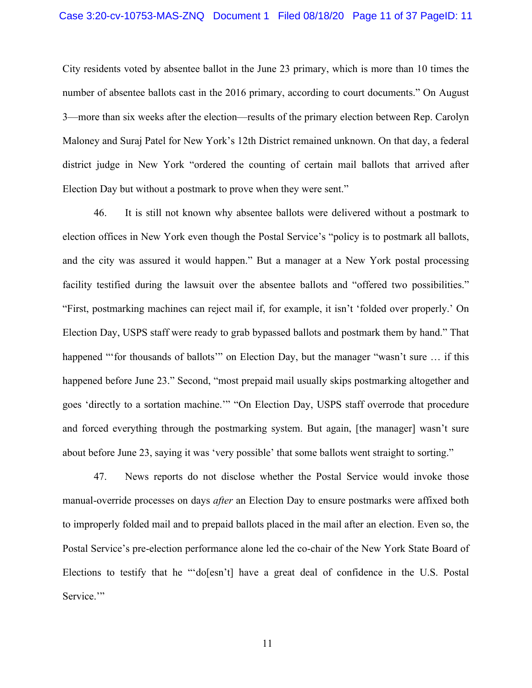City residents voted by absentee ballot in the June 23 primary, which is more than 10 times the number of absentee ballots cast in the 2016 primary, according to court documents." On August 3—more than six weeks after the election—results of the primary election between Rep. Carolyn Maloney and Suraj Patel for New York's 12th District remained unknown. On that day, a federal district judge in New York "ordered the counting of certain mail ballots that arrived after Election Day but without a postmark to prove when they were sent."

46. It is still not known why absentee ballots were delivered without a postmark to election offices in New York even though the Postal Service's "policy is to postmark all ballots, and the city was assured it would happen." But a manager at a New York postal processing facility testified during the lawsuit over the absentee ballots and "offered two possibilities." "First, postmarking machines can reject mail if, for example, it isn't 'folded over properly.' On Election Day, USPS staff were ready to grab bypassed ballots and postmark them by hand." That happened "'for thousands of ballots'" on Election Day, but the manager "wasn't sure ... if this happened before June 23." Second, "most prepaid mail usually skips postmarking altogether and goes 'directly to a sortation machine.'" "On Election Day, USPS staff overrode that procedure and forced everything through the postmarking system. But again, [the manager] wasn't sure about before June 23, saying it was 'very possible' that some ballots went straight to sorting."

47. News reports do not disclose whether the Postal Service would invoke those manual-override processes on days *after* an Election Day to ensure postmarks were affixed both to improperly folded mail and to prepaid ballots placed in the mail after an election. Even so, the Postal Service's pre-election performance alone led the co-chair of the New York State Board of Elections to testify that he "'do[esn't] have a great deal of confidence in the U.S. Postal Service."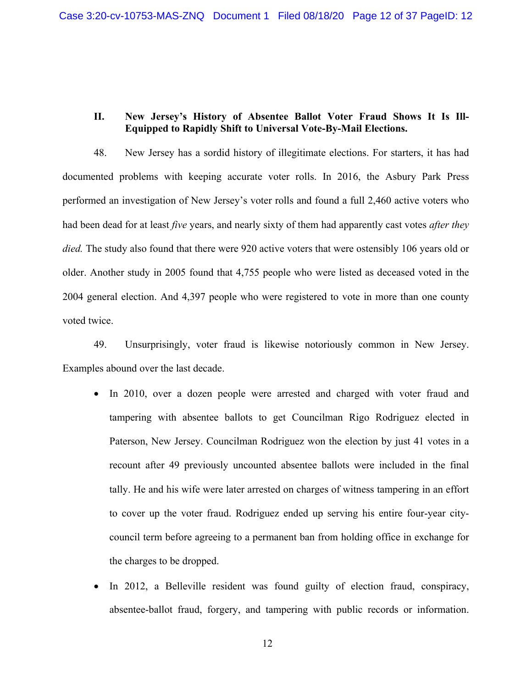# **II. New Jersey's History of Absentee Ballot Voter Fraud Shows It Is Ill-Equipped to Rapidly Shift to Universal Vote-By-Mail Elections.**

48. New Jersey has a sordid history of illegitimate elections. For starters, it has had documented problems with keeping accurate voter rolls. In 2016, the Asbury Park Press performed an investigation of New Jersey's voter rolls and found a full 2,460 active voters who had been dead for at least *five* years, and nearly sixty of them had apparently cast votes *after they died.* The study also found that there were 920 active voters that were ostensibly 106 years old or older. Another study in 2005 found that 4,755 people who were listed as deceased voted in the 2004 general election. And 4,397 people who were registered to vote in more than one county voted twice.

49. Unsurprisingly, voter fraud is likewise notoriously common in New Jersey. Examples abound over the last decade.

- In 2010, over a dozen people were arrested and charged with voter fraud and tampering with absentee ballots to get Councilman Rigo Rodriguez elected in Paterson, New Jersey. Councilman Rodriguez won the election by just 41 votes in a recount after 49 previously uncounted absentee ballots were included in the final tally. He and his wife were later arrested on charges of witness tampering in an effort to cover up the voter fraud. Rodriguez ended up serving his entire four-year citycouncil term before agreeing to a permanent ban from holding office in exchange for the charges to be dropped.
- In 2012, a Belleville resident was found guilty of election fraud, conspiracy, absentee-ballot fraud, forgery, and tampering with public records or information.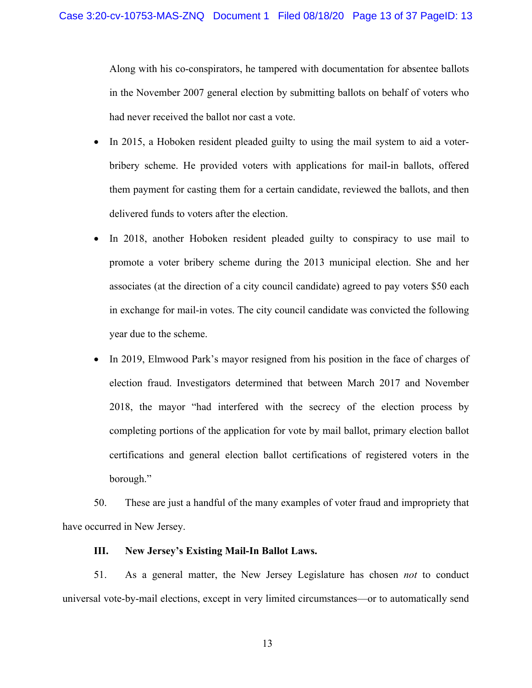Along with his co-conspirators, he tampered with documentation for absentee ballots in the November 2007 general election by submitting ballots on behalf of voters who had never received the ballot nor cast a vote.

- In 2015, a Hoboken resident pleaded guilty to using the mail system to aid a voterbribery scheme. He provided voters with applications for mail-in ballots, offered them payment for casting them for a certain candidate, reviewed the ballots, and then delivered funds to voters after the election.
- In 2018, another Hoboken resident pleaded guilty to conspiracy to use mail to promote a voter bribery scheme during the 2013 municipal election. She and her associates (at the direction of a city council candidate) agreed to pay voters \$50 each in exchange for mail-in votes. The city council candidate was convicted the following year due to the scheme.
- In 2019, Elmwood Park's mayor resigned from his position in the face of charges of election fraud. Investigators determined that between March 2017 and November 2018, the mayor "had interfered with the secrecy of the election process by completing portions of the application for vote by mail ballot, primary election ballot certifications and general election ballot certifications of registered voters in the borough."

50. These are just a handful of the many examples of voter fraud and impropriety that have occurred in New Jersey.

## **III. New Jersey's Existing Mail-In Ballot Laws.**

51. As a general matter, the New Jersey Legislature has chosen *not* to conduct universal vote-by-mail elections, except in very limited circumstances—or to automatically send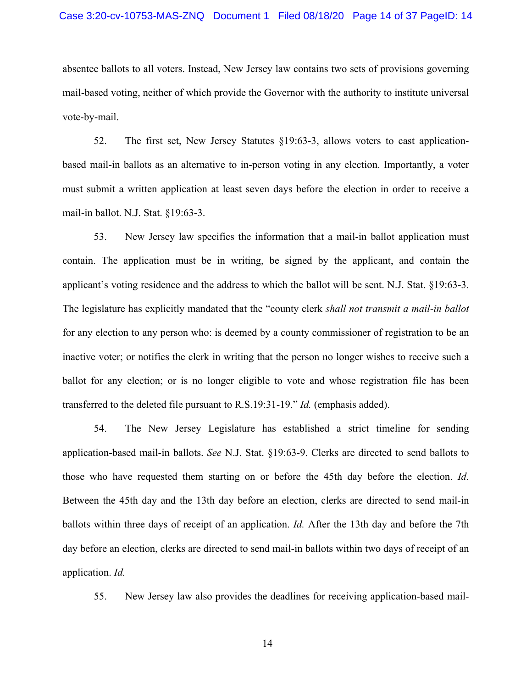## Case 3:20-cv-10753-MAS-ZNQ Document 1 Filed 08/18/20 Page 14 of 37 PageID: 14

absentee ballots to all voters. Instead, New Jersey law contains two sets of provisions governing mail-based voting, neither of which provide the Governor with the authority to institute universal vote-by-mail.

52. The first set, New Jersey Statutes §19:63-3, allows voters to cast applicationbased mail-in ballots as an alternative to in-person voting in any election. Importantly, a voter must submit a written application at least seven days before the election in order to receive a mail-in ballot. N.J. Stat. §19:63-3.

53. New Jersey law specifies the information that a mail-in ballot application must contain. The application must be in writing, be signed by the applicant, and contain the applicant's voting residence and the address to which the ballot will be sent. N.J. Stat. §19:63-3. The legislature has explicitly mandated that the "county clerk *shall not transmit a mail-in ballot* for any election to any person who: is deemed by a county commissioner of registration to be an inactive voter; or notifies the clerk in writing that the person no longer wishes to receive such a ballot for any election; or is no longer eligible to vote and whose registration file has been transferred to the deleted file pursuant to R.S.19:31-19." *Id.* (emphasis added).

54. The New Jersey Legislature has established a strict timeline for sending application-based mail-in ballots. *See* N.J. Stat. §19:63-9. Clerks are directed to send ballots to those who have requested them starting on or before the 45th day before the election. *Id.* Between the 45th day and the 13th day before an election, clerks are directed to send mail-in ballots within three days of receipt of an application. *Id.* After the 13th day and before the 7th day before an election, clerks are directed to send mail-in ballots within two days of receipt of an application. *Id.*

55. New Jersey law also provides the deadlines for receiving application-based mail-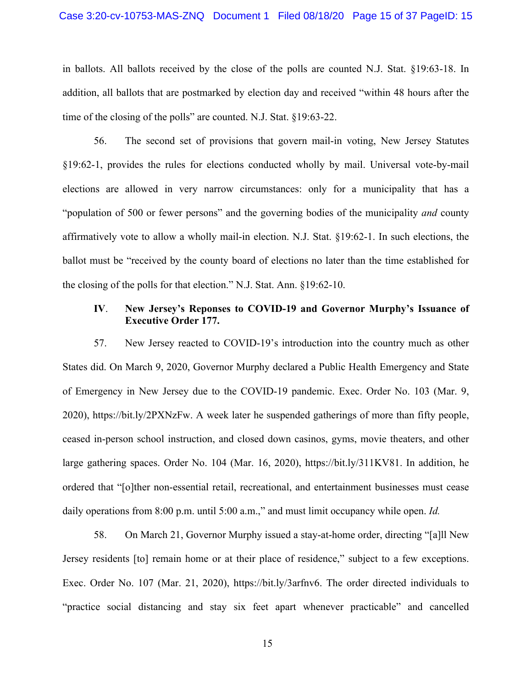in ballots. All ballots received by the close of the polls are counted N.J. Stat. §19:63-18. In addition, all ballots that are postmarked by election day and received "within 48 hours after the time of the closing of the polls" are counted. N.J. Stat. §19:63-22.

56. The second set of provisions that govern mail-in voting, New Jersey Statutes §19:62-1, provides the rules for elections conducted wholly by mail. Universal vote-by-mail elections are allowed in very narrow circumstances: only for a municipality that has a "population of 500 or fewer persons" and the governing bodies of the municipality *and* county affirmatively vote to allow a wholly mail-in election. N.J. Stat. §19:62-1. In such elections, the ballot must be "received by the county board of elections no later than the time established for the closing of the polls for that election." N.J. Stat. Ann. §19:62-10.

## **IV**. **New Jersey's Reponses to COVID-19 and Governor Murphy's Issuance of Executive Order 177.**

57. New Jersey reacted to COVID-19's introduction into the country much as other States did. On March 9, 2020, Governor Murphy declared a Public Health Emergency and State of Emergency in New Jersey due to the COVID-19 pandemic. Exec. Order No. 103 (Mar. 9, 2020), https://bit.ly/2PXNzFw. A week later he suspended gatherings of more than fifty people, ceased in-person school instruction, and closed down casinos, gyms, movie theaters, and other large gathering spaces. Order No. 104 (Mar. 16, 2020), https://bit.ly/311KV81. In addition, he ordered that "[o]ther non-essential retail, recreational, and entertainment businesses must cease daily operations from 8:00 p.m. until 5:00 a.m.," and must limit occupancy while open. *Id.*

58. On March 21, Governor Murphy issued a stay-at-home order, directing "[a]ll New Jersey residents [to] remain home or at their place of residence," subject to a few exceptions. Exec. Order No. 107 (Mar. 21, 2020), https://bit.ly/3arfnv6. The order directed individuals to "practice social distancing and stay six feet apart whenever practicable" and cancelled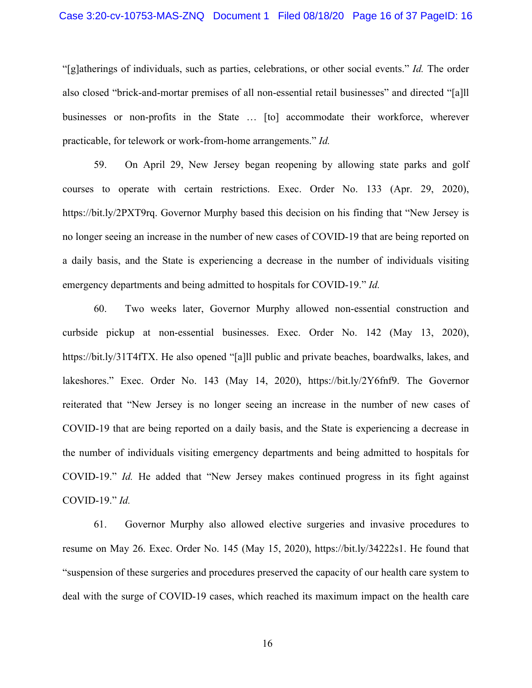## Case 3:20-cv-10753-MAS-ZNQ Document 1 Filed 08/18/20 Page 16 of 37 PageID: 16

"[g]atherings of individuals, such as parties, celebrations, or other social events." *Id.* The order also closed "brick-and-mortar premises of all non-essential retail businesses" and directed "[a]ll businesses or non-profits in the State … [to] accommodate their workforce, wherever practicable, for telework or work-from-home arrangements." *Id.*

59. On April 29, New Jersey began reopening by allowing state parks and golf courses to operate with certain restrictions. Exec. Order No. 133 (Apr. 29, 2020), https://bit.ly/2PXT9rq. Governor Murphy based this decision on his finding that "New Jersey is no longer seeing an increase in the number of new cases of COVID-19 that are being reported on a daily basis, and the State is experiencing a decrease in the number of individuals visiting emergency departments and being admitted to hospitals for COVID-19." *Id.*

60. Two weeks later, Governor Murphy allowed non-essential construction and curbside pickup at non-essential businesses. Exec. Order No. 142 (May 13, 2020), https://bit.ly/31T4fTX. He also opened "[a]ll public and private beaches, boardwalks, lakes, and lakeshores." Exec. Order No. 143 (May 14, 2020), https://bit.ly/2Y6fnf9. The Governor reiterated that "New Jersey is no longer seeing an increase in the number of new cases of COVID-19 that are being reported on a daily basis, and the State is experiencing a decrease in the number of individuals visiting emergency departments and being admitted to hospitals for COVID-19." *Id.* He added that "New Jersey makes continued progress in its fight against COVID-19." *Id.*

61. Governor Murphy also allowed elective surgeries and invasive procedures to resume on May 26. Exec. Order No. 145 (May 15, 2020), https://bit.ly/34222s1. He found that "suspension of these surgeries and procedures preserved the capacity of our health care system to deal with the surge of COVID-19 cases, which reached its maximum impact on the health care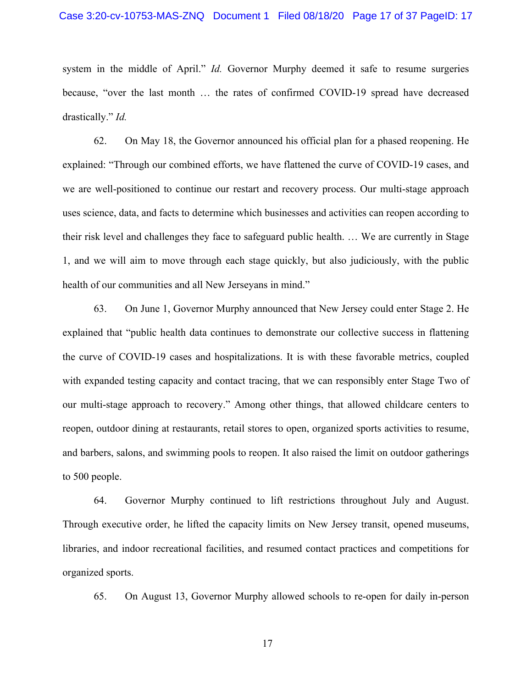system in the middle of April." *Id.* Governor Murphy deemed it safe to resume surgeries because, "over the last month … the rates of confirmed COVID-19 spread have decreased drastically." *Id.*

62. On May 18, the Governor announced his official plan for a phased reopening. He explained: "Through our combined efforts, we have flattened the curve of COVID-19 cases, and we are well-positioned to continue our restart and recovery process. Our multi-stage approach uses science, data, and facts to determine which businesses and activities can reopen according to their risk level and challenges they face to safeguard public health. … We are currently in Stage 1, and we will aim to move through each stage quickly, but also judiciously, with the public health of our communities and all New Jerseyans in mind."

63. On June 1, Governor Murphy announced that New Jersey could enter Stage 2. He explained that "public health data continues to demonstrate our collective success in flattening the curve of COVID-19 cases and hospitalizations. It is with these favorable metrics, coupled with expanded testing capacity and contact tracing, that we can responsibly enter Stage Two of our multi-stage approach to recovery." Among other things, that allowed childcare centers to reopen, outdoor dining at restaurants, retail stores to open, organized sports activities to resume, and barbers, salons, and swimming pools to reopen. It also raised the limit on outdoor gatherings to 500 people.

64. Governor Murphy continued to lift restrictions throughout July and August. Through executive order, he lifted the capacity limits on New Jersey transit, opened museums, libraries, and indoor recreational facilities, and resumed contact practices and competitions for organized sports.

65. On August 13, Governor Murphy allowed schools to re-open for daily in-person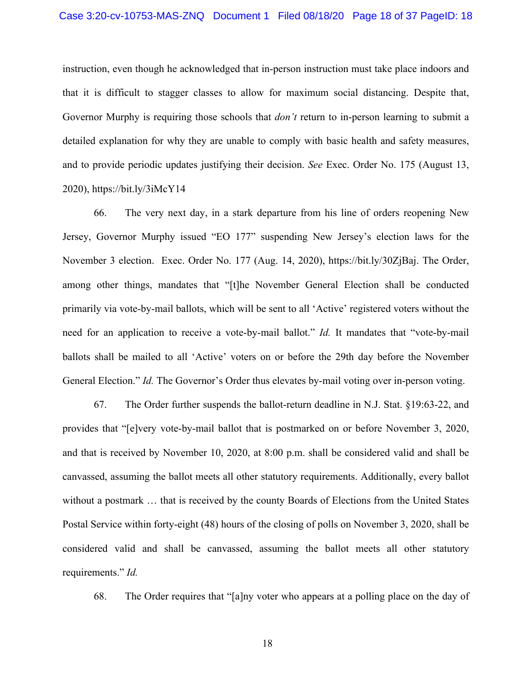instruction, even though he acknowledged that in-person instruction must take place indoors and that it is difficult to stagger classes to allow for maximum social distancing. Despite that, Governor Murphy is requiring those schools that *don't* return to in-person learning to submit a detailed explanation for why they are unable to comply with basic health and safety measures, and to provide periodic updates justifying their decision. *See* Exec. Order No. 175 (August 13, 2020), https://bit.ly/3iMcY14

66. The very next day, in a stark departure from his line of orders reopening New Jersey, Governor Murphy issued "EO 177" suspending New Jersey's election laws for the November 3 election. Exec. Order No. 177 (Aug. 14, 2020), https://bit.ly/30ZjBaj. The Order, among other things, mandates that "[t]he November General Election shall be conducted primarily via vote-by-mail ballots, which will be sent to all 'Active' registered voters without the need for an application to receive a vote-by-mail ballot." *Id.* It mandates that "vote-by-mail ballots shall be mailed to all 'Active' voters on or before the 29th day before the November General Election." *Id.* The Governor's Order thus elevates by-mail voting over in-person voting.

67. The Order further suspends the ballot-return deadline in N.J. Stat. §19:63-22, and provides that "[e]very vote-by-mail ballot that is postmarked on or before November 3, 2020, and that is received by November 10, 2020, at 8:00 p.m. shall be considered valid and shall be canvassed, assuming the ballot meets all other statutory requirements. Additionally, every ballot without a postmark … that is received by the county Boards of Elections from the United States Postal Service within forty-eight (48) hours of the closing of polls on November 3, 2020, shall be considered valid and shall be canvassed, assuming the ballot meets all other statutory requirements." *Id.*

68. The Order requires that "[a]ny voter who appears at a polling place on the day of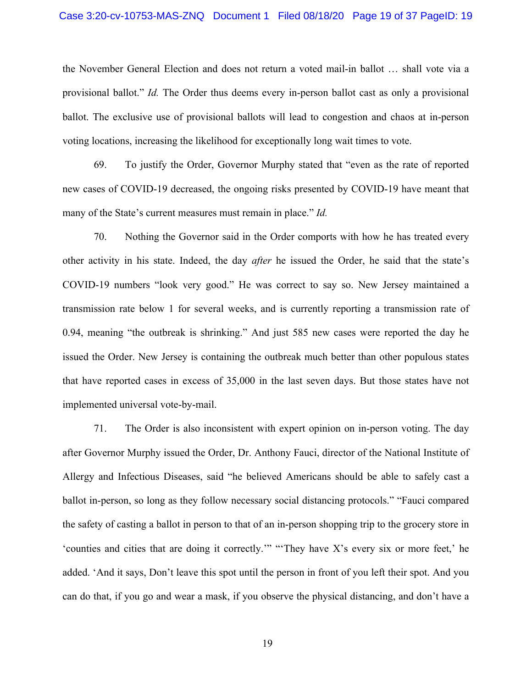### Case 3:20-cv-10753-MAS-ZNQ Document 1 Filed 08/18/20 Page 19 of 37 PageID: 19

the November General Election and does not return a voted mail-in ballot … shall vote via a provisional ballot." *Id.* The Order thus deems every in-person ballot cast as only a provisional ballot. The exclusive use of provisional ballots will lead to congestion and chaos at in-person voting locations, increasing the likelihood for exceptionally long wait times to vote.

69. To justify the Order, Governor Murphy stated that "even as the rate of reported new cases of COVID-19 decreased, the ongoing risks presented by COVID-19 have meant that many of the State's current measures must remain in place." *Id.*

70. Nothing the Governor said in the Order comports with how he has treated every other activity in his state. Indeed, the day *after* he issued the Order, he said that the state's COVID-19 numbers "look very good." He was correct to say so. New Jersey maintained a transmission rate below 1 for several weeks, and is currently reporting a transmission rate of 0.94, meaning "the outbreak is shrinking." And just 585 new cases were reported the day he issued the Order. New Jersey is containing the outbreak much better than other populous states that have reported cases in excess of 35,000 in the last seven days. But those states have not implemented universal vote-by-mail.

71. The Order is also inconsistent with expert opinion on in-person voting. The day after Governor Murphy issued the Order, Dr. Anthony Fauci, director of the National Institute of Allergy and Infectious Diseases, said "he believed Americans should be able to safely cast a ballot in-person, so long as they follow necessary social distancing protocols." "Fauci compared the safety of casting a ballot in person to that of an in-person shopping trip to the grocery store in 'counties and cities that are doing it correctly.'" "'They have X's every six or more feet,' he added. 'And it says, Don't leave this spot until the person in front of you left their spot. And you can do that, if you go and wear a mask, if you observe the physical distancing, and don't have a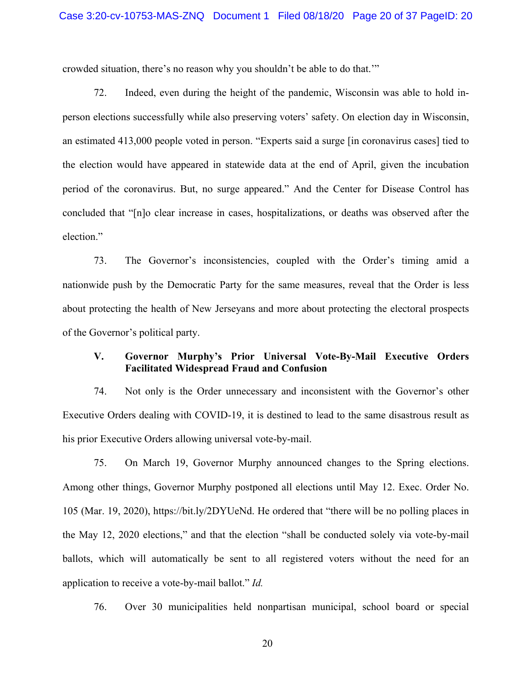crowded situation, there's no reason why you shouldn't be able to do that.'"

72. Indeed, even during the height of the pandemic, Wisconsin was able to hold inperson elections successfully while also preserving voters' safety. On election day in Wisconsin, an estimated 413,000 people voted in person. "Experts said a surge [in coronavirus cases] tied to the election would have appeared in statewide data at the end of April, given the incubation period of the coronavirus. But, no surge appeared." And the Center for Disease Control has concluded that "[n]o clear increase in cases, hospitalizations, or deaths was observed after the election."

73. The Governor's inconsistencies, coupled with the Order's timing amid a nationwide push by the Democratic Party for the same measures, reveal that the Order is less about protecting the health of New Jerseyans and more about protecting the electoral prospects of the Governor's political party.

# **V. Governor Murphy's Prior Universal Vote-By-Mail Executive Orders Facilitated Widespread Fraud and Confusion**

74. Not only is the Order unnecessary and inconsistent with the Governor's other Executive Orders dealing with COVID-19, it is destined to lead to the same disastrous result as his prior Executive Orders allowing universal vote-by-mail.

75. On March 19, Governor Murphy announced changes to the Spring elections. Among other things, Governor Murphy postponed all elections until May 12. Exec. Order No. 105 (Mar. 19, 2020), https://bit.ly/2DYUeNd. He ordered that "there will be no polling places in the May 12, 2020 elections," and that the election "shall be conducted solely via vote-by-mail ballots, which will automatically be sent to all registered voters without the need for an application to receive a vote-by-mail ballot." *Id.*

76. Over 30 municipalities held nonpartisan municipal, school board or special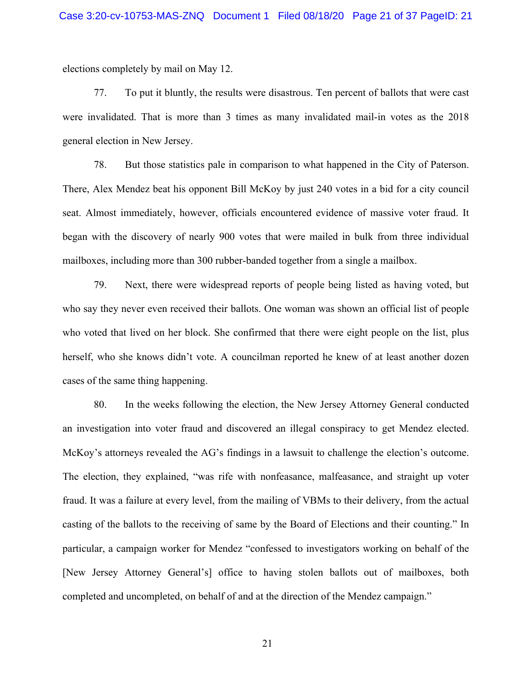elections completely by mail on May 12.

77. To put it bluntly, the results were disastrous. Ten percent of ballots that were cast were invalidated. That is more than 3 times as many invalidated mail-in votes as the 2018 general election in New Jersey.

78. But those statistics pale in comparison to what happened in the City of Paterson. There, Alex Mendez beat his opponent Bill McKoy by just 240 votes in a bid for a city council seat. Almost immediately, however, officials encountered evidence of massive voter fraud. It began with the discovery of nearly 900 votes that were mailed in bulk from three individual mailboxes, including more than 300 rubber-banded together from a single a mailbox.

79. Next, there were widespread reports of people being listed as having voted, but who say they never even received their ballots. One woman was shown an official list of people who voted that lived on her block. She confirmed that there were eight people on the list, plus herself, who she knows didn't vote. A councilman reported he knew of at least another dozen cases of the same thing happening.

80. In the weeks following the election, the New Jersey Attorney General conducted an investigation into voter fraud and discovered an illegal conspiracy to get Mendez elected. McKoy's attorneys revealed the AG's findings in a lawsuit to challenge the election's outcome. The election, they explained, "was rife with nonfeasance, malfeasance, and straight up voter fraud. It was a failure at every level, from the mailing of VBMs to their delivery, from the actual casting of the ballots to the receiving of same by the Board of Elections and their counting." In particular, a campaign worker for Mendez "confessed to investigators working on behalf of the [New Jersey Attorney General's] office to having stolen ballots out of mailboxes, both completed and uncompleted, on behalf of and at the direction of the Mendez campaign."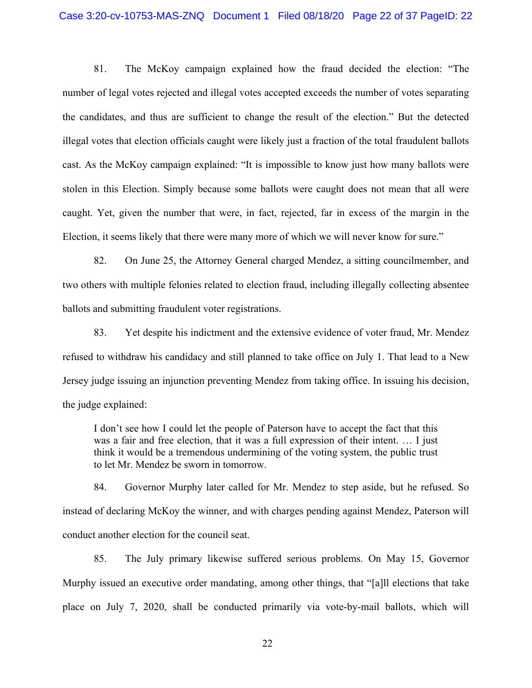## Case 3:20-cv-10753-MAS-ZNQ Document 1 Filed 08/18/20 Page 22 of 37 PageID: 22

81. The McKoy campaign explained how the fraud decided the election: "The number of legal votes rejected and illegal votes accepted exceeds the number of votes separating the candidates, and thus are sufficient to change the result of the election." But the detected illegal votes that election officials caught were likely just a fraction of the total fraudulent ballots cast. As the McKoy campaign explained: "It is impossible to know just how many ballots were stolen in this Election. Simply because some ballots were caught does not mean that all were caught. Yet, given the number that were, in fact, rejected, far in excess of the margin in the Election, it seems likely that there were many more of which we will never know for sure."

82. On June 25, the Attorney General charged Mendez, a sitting councilmember, and two others with multiple felonies related to election fraud, including illegally collecting absentee ballots and submitting fraudulent voter registrations.

83. Yet despite his indictment and the extensive evidence of voter fraud, Mr. Mendez refused to withdraw his candidacy and still planned to take office on July 1. That lead to a New Jersey judge issuing an injunction preventing Mendez from taking office. In issuing his decision, the judge explained:

I don't see how I could let the people of Paterson have to accept the fact that this was a fair and free election, that it was a full expression of their intent. … I just think it would be a tremendous undermining of the voting system, the public trust to let Mr. Mendez be sworn in tomorrow.

84. Governor Murphy later called for Mr. Mendez to step aside, but he refused. So instead of declaring McKoy the winner, and with charges pending against Mendez, Paterson will conduct another election for the council seat.

85. The July primary likewise suffered serious problems. On May 15, Governor Murphy issued an executive order mandating, among other things, that "[a]ll elections that take place on July 7, 2020, shall be conducted primarily via vote-by-mail ballots, which will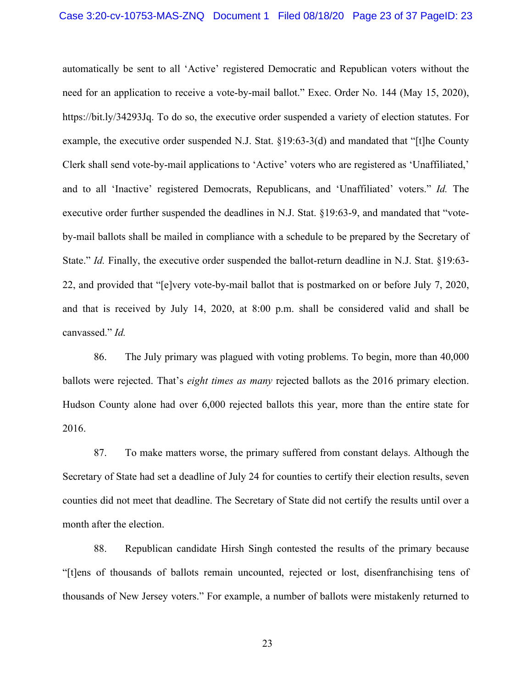automatically be sent to all 'Active' registered Democratic and Republican voters without the need for an application to receive a vote-by-mail ballot." Exec. Order No. 144 (May 15, 2020), https://bit.ly/34293Jq. To do so, the executive order suspended a variety of election statutes. For example, the executive order suspended N.J. Stat. §19:63-3(d) and mandated that "[t]he County Clerk shall send vote-by-mail applications to 'Active' voters who are registered as 'Unaffiliated,' and to all 'Inactive' registered Democrats, Republicans, and 'Unaffiliated' voters." *Id.* The executive order further suspended the deadlines in N.J. Stat. §19:63-9, and mandated that "voteby-mail ballots shall be mailed in compliance with a schedule to be prepared by the Secretary of State." *Id.* Finally, the executive order suspended the ballot-return deadline in N.J. Stat. §19:63-22, and provided that "[e]very vote-by-mail ballot that is postmarked on or before July 7, 2020, and that is received by July 14, 2020, at 8:00 p.m. shall be considered valid and shall be canvassed." *Id.*

86. The July primary was plagued with voting problems. To begin, more than 40,000 ballots were rejected. That's *eight times as many* rejected ballots as the 2016 primary election. Hudson County alone had over 6,000 rejected ballots this year, more than the entire state for 2016.

87. To make matters worse, the primary suffered from constant delays. Although the Secretary of State had set a deadline of July 24 for counties to certify their election results, seven counties did not meet that deadline. The Secretary of State did not certify the results until over a month after the election.

88. Republican candidate Hirsh Singh contested the results of the primary because "[t]ens of thousands of ballots remain uncounted, rejected or lost, disenfranchising tens of thousands of New Jersey voters." For example, a number of ballots were mistakenly returned to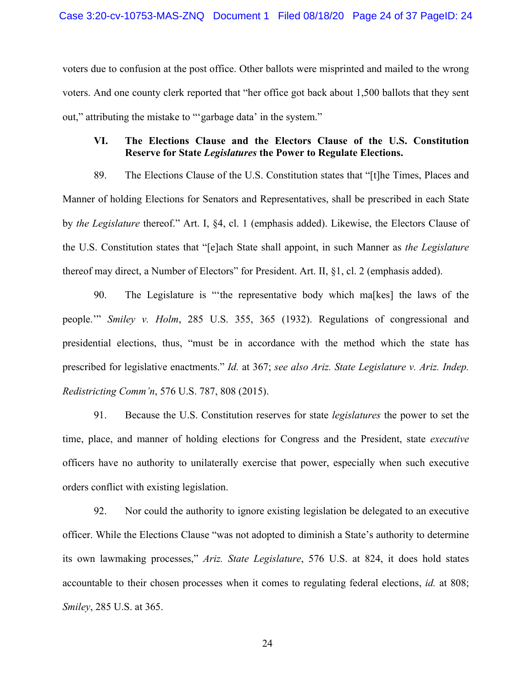voters due to confusion at the post office. Other ballots were misprinted and mailed to the wrong voters. And one county clerk reported that "her office got back about 1,500 ballots that they sent out," attributing the mistake to "'garbage data' in the system."

## **VI. The Elections Clause and the Electors Clause of the U.S. Constitution Reserve for State** *Legislatures* **the Power to Regulate Elections.**

89. The Elections Clause of the U.S. Constitution states that "[t]he Times, Places and Manner of holding Elections for Senators and Representatives, shall be prescribed in each State by *the Legislature* thereof." Art. I, §4, cl. 1 (emphasis added). Likewise, the Electors Clause of the U.S. Constitution states that "[e]ach State shall appoint, in such Manner as *the Legislature* thereof may direct, a Number of Electors" for President. Art. II, §1, cl. 2 (emphasis added).

90. The Legislature is "'the representative body which ma[kes] the laws of the people.'" *Smiley v. Holm*, 285 U.S. 355, 365 (1932). Regulations of congressional and presidential elections, thus, "must be in accordance with the method which the state has prescribed for legislative enactments." *Id.* at 367; *see also Ariz. State Legislature v. Ariz. Indep. Redistricting Comm'n*, 576 U.S. 787, 808 (2015).

91. Because the U.S. Constitution reserves for state *legislatures* the power to set the time, place, and manner of holding elections for Congress and the President, state *executive*  officers have no authority to unilaterally exercise that power, especially when such executive orders conflict with existing legislation.

92. Nor could the authority to ignore existing legislation be delegated to an executive officer. While the Elections Clause "was not adopted to diminish a State's authority to determine its own lawmaking processes," *Ariz. State Legislature*, 576 U.S. at 824, it does hold states accountable to their chosen processes when it comes to regulating federal elections, *id.* at 808; *Smiley*, 285 U.S. at 365.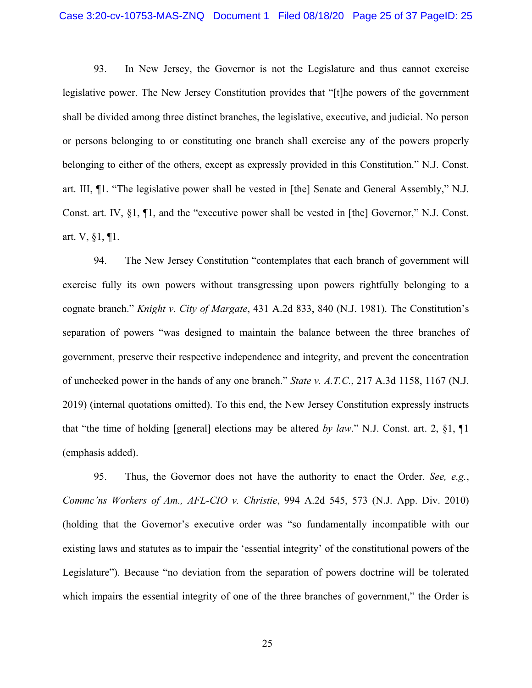## Case 3:20-cv-10753-MAS-ZNQ Document 1 Filed 08/18/20 Page 25 of 37 PageID: 25

93. In New Jersey, the Governor is not the Legislature and thus cannot exercise legislative power. The New Jersey Constitution provides that "[t]he powers of the government shall be divided among three distinct branches, the legislative, executive, and judicial. No person or persons belonging to or constituting one branch shall exercise any of the powers properly belonging to either of the others, except as expressly provided in this Constitution." N.J. Const. art. III, ¶1. "The legislative power shall be vested in [the] Senate and General Assembly," N.J. Const. art. IV, §1, ¶1, and the "executive power shall be vested in [the] Governor," N.J. Const. art. V, §1, ¶1.

94. The New Jersey Constitution "contemplates that each branch of government will exercise fully its own powers without transgressing upon powers rightfully belonging to a cognate branch." *Knight v. City of Margate*, 431 A.2d 833, 840 (N.J. 1981). The Constitution's separation of powers "was designed to maintain the balance between the three branches of government, preserve their respective independence and integrity, and prevent the concentration of unchecked power in the hands of any one branch." *State v. A.T.C.*, 217 A.3d 1158, 1167 (N.J. 2019) (internal quotations omitted). To this end, the New Jersey Constitution expressly instructs that "the time of holding [general] elections may be altered *by law*." N.J. Const. art. 2, §1, ¶1 (emphasis added).

95. Thus, the Governor does not have the authority to enact the Order. *See, e.g.*, *Commc'ns Workers of Am., AFL-CIO v. Christie*, 994 A.2d 545, 573 (N.J. App. Div. 2010) (holding that the Governor's executive order was "so fundamentally incompatible with our existing laws and statutes as to impair the 'essential integrity' of the constitutional powers of the Legislature"). Because "no deviation from the separation of powers doctrine will be tolerated which impairs the essential integrity of one of the three branches of government," the Order is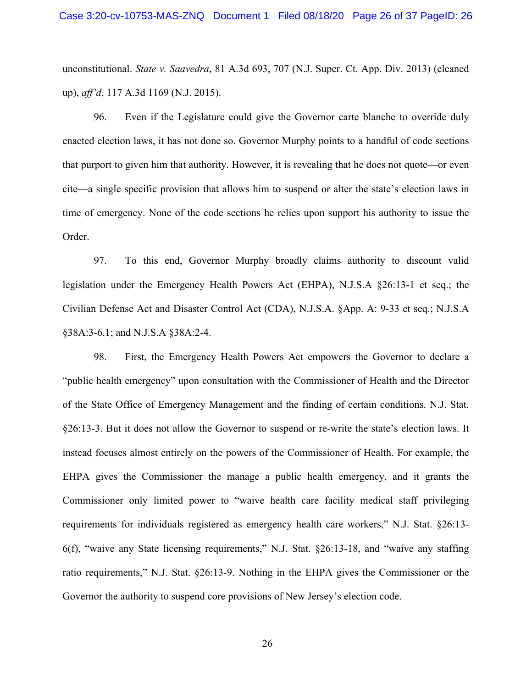unconstitutional. *State v. Saavedra*, 81 A.3d 693, 707 (N.J. Super. Ct. App. Div. 2013) (cleaned up), *aff'd*, 117 A.3d 1169 (N.J. 2015).

96. Even if the Legislature could give the Governor carte blanche to override duly enacted election laws, it has not done so. Governor Murphy points to a handful of code sections that purport to given him that authority. However, it is revealing that he does not quote—or even cite—a single specific provision that allows him to suspend or alter the state's election laws in time of emergency. None of the code sections he relies upon support his authority to issue the Order.

97. To this end, Governor Murphy broadly claims authority to discount valid legislation under the Emergency Health Powers Act (EHPA), N.J.S.A §26:13-1 et seq.; the Civilian Defense Act and Disaster Control Act (CDA), N.J.S.A. §App. A: 9-33 et seq.; N.J.S.A §38A:3-6.1; and N.J.S.A §38A:2-4.

98. First, the Emergency Health Powers Act empowers the Governor to declare a "public health emergency" upon consultation with the Commissioner of Health and the Director of the State Office of Emergency Management and the finding of certain conditions. N.J. Stat. §26:13-3. But it does not allow the Governor to suspend or re-write the state's election laws. It instead focuses almost entirely on the powers of the Commissioner of Health. For example, the EHPA gives the Commissioner the manage a public health emergency, and it grants the Commissioner only limited power to "waive health care facility medical staff privileging requirements for individuals registered as emergency health care workers," N.J. Stat. §26:13- 6(f), "waive any State licensing requirements," N.J. Stat. §26:13-18, and "waive any staffing ratio requirements," N.J. Stat. §26:13-9. Nothing in the EHPA gives the Commissioner or the Governor the authority to suspend core provisions of New Jersey's election code.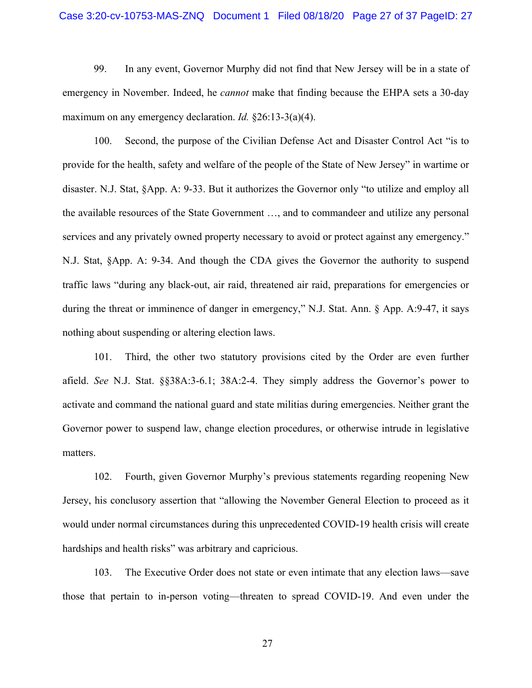## Case 3:20-cv-10753-MAS-ZNQ Document 1 Filed 08/18/20 Page 27 of 37 PageID: 27

99. In any event, Governor Murphy did not find that New Jersey will be in a state of emergency in November. Indeed, he *cannot* make that finding because the EHPA sets a 30-day maximum on any emergency declaration. *Id.* §26:13-3(a)(4).

100. Second, the purpose of the Civilian Defense Act and Disaster Control Act "is to provide for the health, safety and welfare of the people of the State of New Jersey" in wartime or disaster. N.J. Stat, §App. A: 9-33. But it authorizes the Governor only "to utilize and employ all the available resources of the State Government …, and to commandeer and utilize any personal services and any privately owned property necessary to avoid or protect against any emergency." N.J. Stat, §App. A: 9-34. And though the CDA gives the Governor the authority to suspend traffic laws "during any black-out, air raid, threatened air raid, preparations for emergencies or during the threat or imminence of danger in emergency," N.J. Stat. Ann. § App. A:9-47, it says nothing about suspending or altering election laws.

101. Third, the other two statutory provisions cited by the Order are even further afield. *See* N.J. Stat. §§38A:3-6.1; 38A:2-4. They simply address the Governor's power to activate and command the national guard and state militias during emergencies. Neither grant the Governor power to suspend law, change election procedures, or otherwise intrude in legislative matters.

102. Fourth, given Governor Murphy's previous statements regarding reopening New Jersey, his conclusory assertion that "allowing the November General Election to proceed as it would under normal circumstances during this unprecedented COVID-19 health crisis will create hardships and health risks" was arbitrary and capricious.

103. The Executive Order does not state or even intimate that any election laws—save those that pertain to in-person voting—threaten to spread COVID-19. And even under the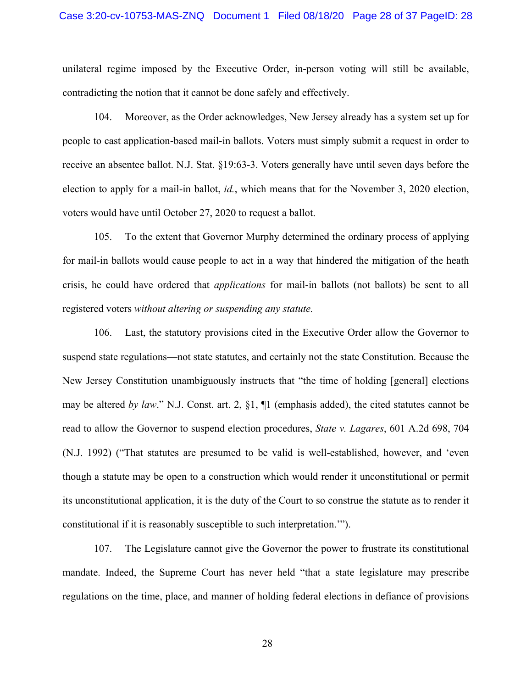## Case 3:20-cv-10753-MAS-ZNQ Document 1 Filed 08/18/20 Page 28 of 37 PageID: 28

unilateral regime imposed by the Executive Order, in-person voting will still be available, contradicting the notion that it cannot be done safely and effectively.

104. Moreover, as the Order acknowledges, New Jersey already has a system set up for people to cast application-based mail-in ballots. Voters must simply submit a request in order to receive an absentee ballot. N.J. Stat. §19:63-3. Voters generally have until seven days before the election to apply for a mail-in ballot, *id.*, which means that for the November 3, 2020 election, voters would have until October 27, 2020 to request a ballot.

105. To the extent that Governor Murphy determined the ordinary process of applying for mail-in ballots would cause people to act in a way that hindered the mitigation of the heath crisis, he could have ordered that *applications* for mail-in ballots (not ballots) be sent to all registered voters *without altering or suspending any statute.*

106. Last, the statutory provisions cited in the Executive Order allow the Governor to suspend state regulations—not state statutes, and certainly not the state Constitution. Because the New Jersey Constitution unambiguously instructs that "the time of holding [general] elections may be altered *by law*." N.J. Const. art. 2, §1, ¶1 (emphasis added), the cited statutes cannot be read to allow the Governor to suspend election procedures, *State v. Lagares*, 601 A.2d 698, 704 (N.J. 1992) ("That statutes are presumed to be valid is well-established, however, and 'even though a statute may be open to a construction which would render it unconstitutional or permit its unconstitutional application, it is the duty of the Court to so construe the statute as to render it constitutional if it is reasonably susceptible to such interpretation.'").

107. The Legislature cannot give the Governor the power to frustrate its constitutional mandate. Indeed, the Supreme Court has never held "that a state legislature may prescribe regulations on the time, place, and manner of holding federal elections in defiance of provisions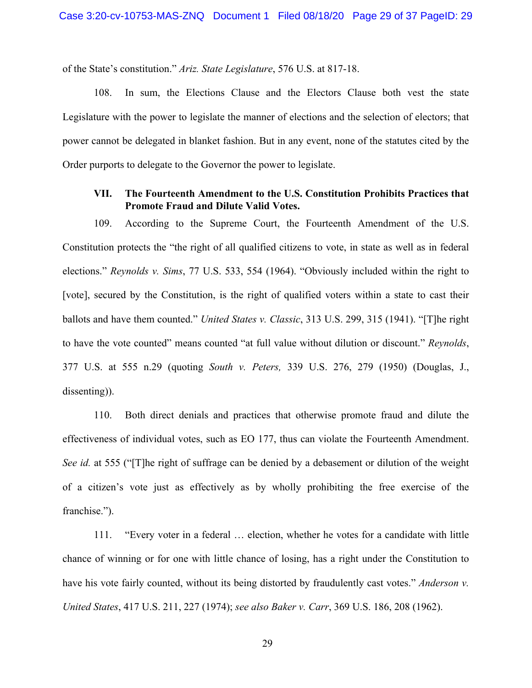of the State's constitution." *Ariz. State Legislature*, 576 U.S. at 817-18.

108. In sum, the Elections Clause and the Electors Clause both vest the state Legislature with the power to legislate the manner of elections and the selection of electors; that power cannot be delegated in blanket fashion. But in any event, none of the statutes cited by the Order purports to delegate to the Governor the power to legislate.

## **VII. The Fourteenth Amendment to the U.S. Constitution Prohibits Practices that Promote Fraud and Dilute Valid Votes.**

109. According to the Supreme Court, the Fourteenth Amendment of the U.S. Constitution protects the "the right of all qualified citizens to vote, in state as well as in federal elections." *Reynolds v. Sims*, 77 U.S. 533, 554 (1964). "Obviously included within the right to [vote], secured by the Constitution, is the right of qualified voters within a state to cast their ballots and have them counted." *United States v. Classic*, 313 U.S. 299, 315 (1941). "[T]he right to have the vote counted" means counted "at full value without dilution or discount." *Reynolds*, 377 U.S. at 555 n.29 (quoting *South v. Peters,* 339 U.S. 276, 279 (1950) (Douglas, J., dissenting)).

110. Both direct denials and practices that otherwise promote fraud and dilute the effectiveness of individual votes, such as EO 177, thus can violate the Fourteenth Amendment. *See id.* at 555 ("[T]he right of suffrage can be denied by a debasement or dilution of the weight of a citizen's vote just as effectively as by wholly prohibiting the free exercise of the franchise.").

111. "Every voter in a federal … election, whether he votes for a candidate with little chance of winning or for one with little chance of losing, has a right under the Constitution to have his vote fairly counted, without its being distorted by fraudulently cast votes." *Anderson v. United States*, 417 U.S. 211, 227 (1974); *see also Baker v. Carr*, 369 U.S. 186, 208 (1962).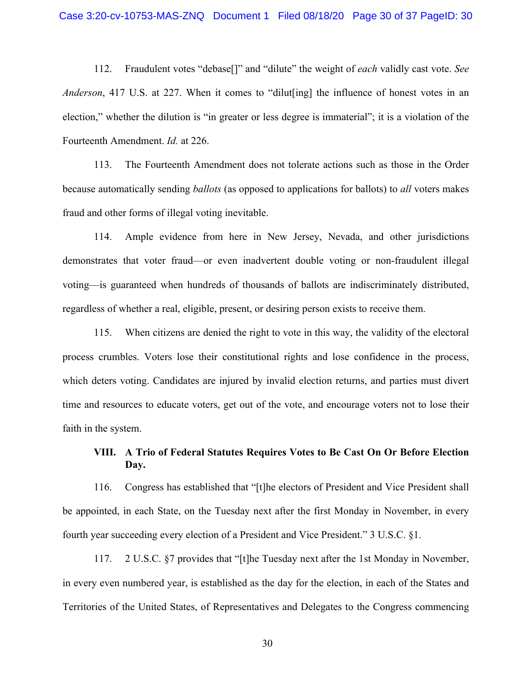112. Fraudulent votes "debase[]" and "dilute" the weight of *each* validly cast vote. *See Anderson*, 417 U.S. at 227. When it comes to "dilut [ing] the influence of honest votes in an election," whether the dilution is "in greater or less degree is immaterial"; it is a violation of the Fourteenth Amendment. *Id.* at 226.

113. The Fourteenth Amendment does not tolerate actions such as those in the Order because automatically sending *ballots* (as opposed to applications for ballots) to *all* voters makes fraud and other forms of illegal voting inevitable.

114. Ample evidence from here in New Jersey, Nevada, and other jurisdictions demonstrates that voter fraud—or even inadvertent double voting or non-fraudulent illegal voting—is guaranteed when hundreds of thousands of ballots are indiscriminately distributed, regardless of whether a real, eligible, present, or desiring person exists to receive them.

115. When citizens are denied the right to vote in this way, the validity of the electoral process crumbles. Voters lose their constitutional rights and lose confidence in the process, which deters voting. Candidates are injured by invalid election returns, and parties must divert time and resources to educate voters, get out of the vote, and encourage voters not to lose their faith in the system.

# **VIII. A Trio of Federal Statutes Requires Votes to Be Cast On Or Before Election Day.**

116. Congress has established that "[t]he electors of President and Vice President shall be appointed, in each State, on the Tuesday next after the first Monday in November, in every fourth year succeeding every election of a President and Vice President." 3 U.S.C. §1.

117. 2 U.S.C. §7 provides that "[t]he Tuesday next after the 1st Monday in November, in every even numbered year, is established as the day for the election, in each of the States and Territories of the United States, of Representatives and Delegates to the Congress commencing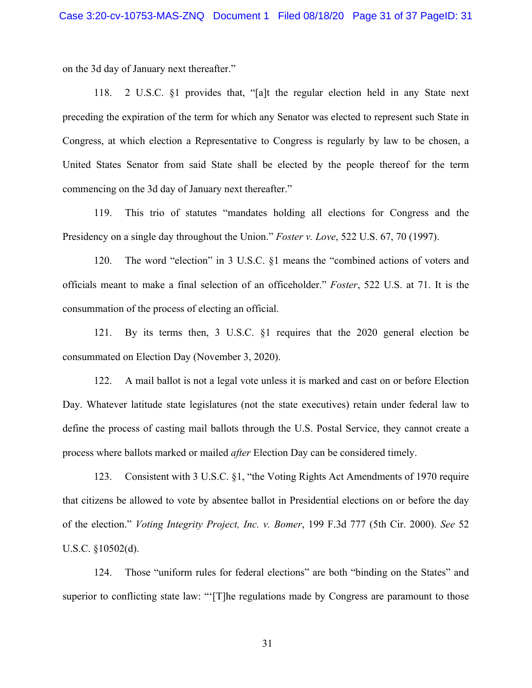on the 3d day of January next thereafter."

118. 2 U.S.C. §1 provides that, "[a]t the regular election held in any State next preceding the expiration of the term for which any Senator was elected to represent such State in Congress, at which election a Representative to Congress is regularly by law to be chosen, a United States Senator from said State shall be elected by the people thereof for the term commencing on the 3d day of January next thereafter."

119. This trio of statutes "mandates holding all elections for Congress and the Presidency on a single day throughout the Union." *Foster v. Love*, 522 U.S. 67, 70 (1997).

120. The word "election" in 3 U.S.C. §1 means the "combined actions of voters and officials meant to make a final selection of an officeholder." *Foster*, 522 U.S. at 71. It is the consummation of the process of electing an official.

121. By its terms then, 3 U.S.C. §1 requires that the 2020 general election be consummated on Election Day (November 3, 2020).

122. A mail ballot is not a legal vote unless it is marked and cast on or before Election Day. Whatever latitude state legislatures (not the state executives) retain under federal law to define the process of casting mail ballots through the U.S. Postal Service, they cannot create a process where ballots marked or mailed *after* Election Day can be considered timely.

123. Consistent with 3 U.S.C. §1, "the Voting Rights Act Amendments of 1970 require that citizens be allowed to vote by absentee ballot in Presidential elections on or before the day of the election." *Voting Integrity Project, Inc. v. Bomer*, 199 F.3d 777 (5th Cir. 2000). *See* 52 U.S.C. §10502(d).

124. Those "uniform rules for federal elections" are both "binding on the States" and superior to conflicting state law: "'[T]he regulations made by Congress are paramount to those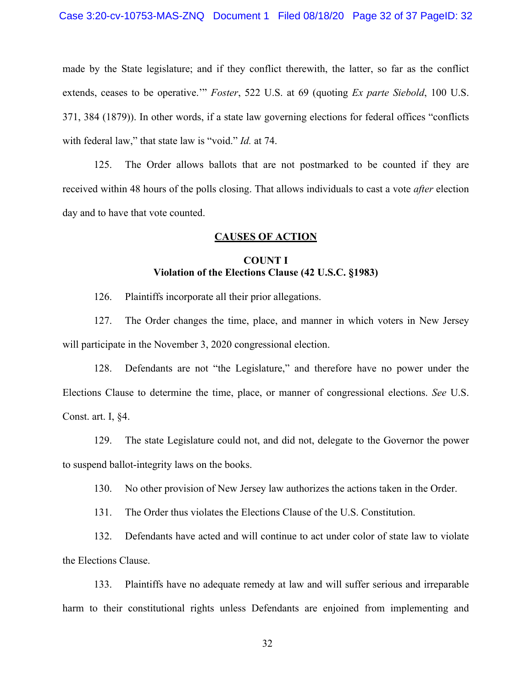## Case 3:20-cv-10753-MAS-ZNQ Document 1 Filed 08/18/20 Page 32 of 37 PageID: 32

made by the State legislature; and if they conflict therewith, the latter, so far as the conflict extends, ceases to be operative.'" *Foster*, 522 U.S. at 69 (quoting *Ex parte Siebold*, 100 U.S. 371, 384 (1879)). In other words, if a state law governing elections for federal offices "conflicts with federal law," that state law is "void." *Id.* at 74.

125. The Order allows ballots that are not postmarked to be counted if they are received within 48 hours of the polls closing. That allows individuals to cast a vote *after* election day and to have that vote counted.

## **CAUSES OF ACTION**

## **COUNT I Violation of the Elections Clause (42 U.S.C. §1983)**

126. Plaintiffs incorporate all their prior allegations.

127. The Order changes the time, place, and manner in which voters in New Jersey will participate in the November 3, 2020 congressional election.

128. Defendants are not "the Legislature," and therefore have no power under the Elections Clause to determine the time, place, or manner of congressional elections. *See* U.S. Const. art. I, §4.

129. The state Legislature could not, and did not, delegate to the Governor the power to suspend ballot-integrity laws on the books.

130. No other provision of New Jersey law authorizes the actions taken in the Order.

131. The Order thus violates the Elections Clause of the U.S. Constitution.

132. Defendants have acted and will continue to act under color of state law to violate the Elections Clause.

133. Plaintiffs have no adequate remedy at law and will suffer serious and irreparable harm to their constitutional rights unless Defendants are enjoined from implementing and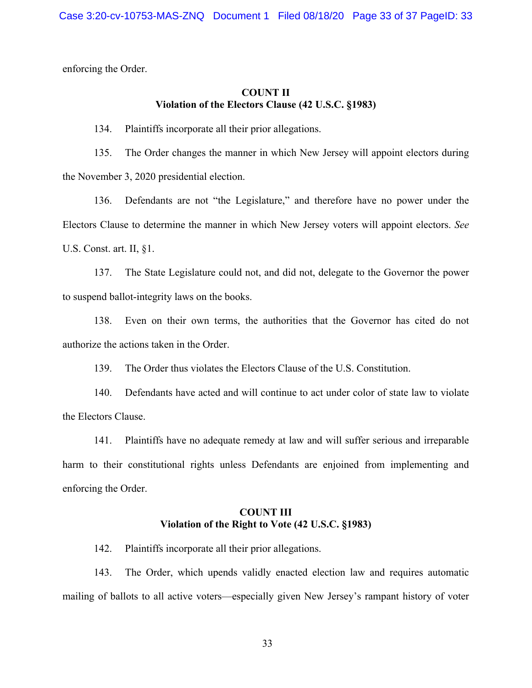enforcing the Order.

## **COUNT II Violation of the Electors Clause (42 U.S.C. §1983)**

134. Plaintiffs incorporate all their prior allegations.

135. The Order changes the manner in which New Jersey will appoint electors during the November 3, 2020 presidential election.

136. Defendants are not "the Legislature," and therefore have no power under the Electors Clause to determine the manner in which New Jersey voters will appoint electors. *See*  U.S. Const. art. II, §1.

137. The State Legislature could not, and did not, delegate to the Governor the power to suspend ballot-integrity laws on the books.

138. Even on their own terms, the authorities that the Governor has cited do not authorize the actions taken in the Order.

139. The Order thus violates the Electors Clause of the U.S. Constitution.

140. Defendants have acted and will continue to act under color of state law to violate the Electors Clause.

141. Plaintiffs have no adequate remedy at law and will suffer serious and irreparable harm to their constitutional rights unless Defendants are enjoined from implementing and enforcing the Order.

# **COUNT III Violation of the Right to Vote (42 U.S.C. §1983)**

142. Plaintiffs incorporate all their prior allegations.

143. The Order, which upends validly enacted election law and requires automatic mailing of ballots to all active voters—especially given New Jersey's rampant history of voter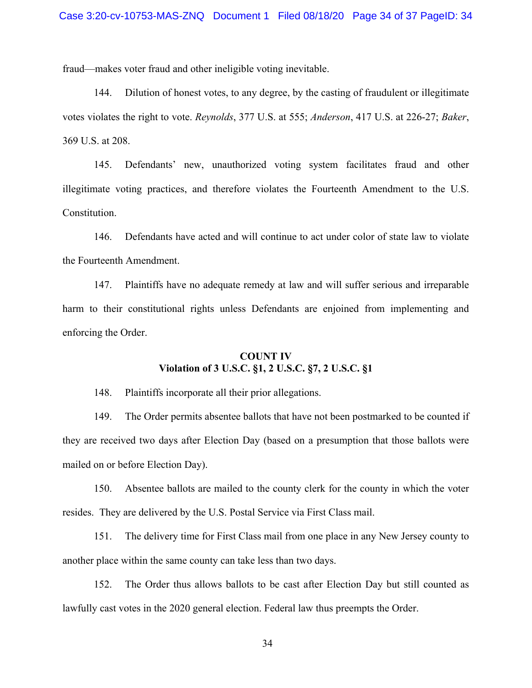fraud—makes voter fraud and other ineligible voting inevitable.

144. Dilution of honest votes, to any degree, by the casting of fraudulent or illegitimate votes violates the right to vote. *Reynolds*, 377 U.S. at 555; *Anderson*, 417 U.S. at 226-27; *Baker*, 369 U.S. at 208.

145. Defendants' new, unauthorized voting system facilitates fraud and other illegitimate voting practices, and therefore violates the Fourteenth Amendment to the U.S. Constitution.

146. Defendants have acted and will continue to act under color of state law to violate the Fourteenth Amendment.

147. Plaintiffs have no adequate remedy at law and will suffer serious and irreparable harm to their constitutional rights unless Defendants are enjoined from implementing and enforcing the Order.

# **COUNT IV Violation of 3 U.S.C. §1, 2 U.S.C. §7, 2 U.S.C. §1**

148. Plaintiffs incorporate all their prior allegations.

149. The Order permits absentee ballots that have not been postmarked to be counted if they are received two days after Election Day (based on a presumption that those ballots were mailed on or before Election Day).

150. Absentee ballots are mailed to the county clerk for the county in which the voter resides. They are delivered by the U.S. Postal Service via First Class mail.

151. The delivery time for First Class mail from one place in any New Jersey county to another place within the same county can take less than two days.

152. The Order thus allows ballots to be cast after Election Day but still counted as lawfully cast votes in the 2020 general election. Federal law thus preempts the Order.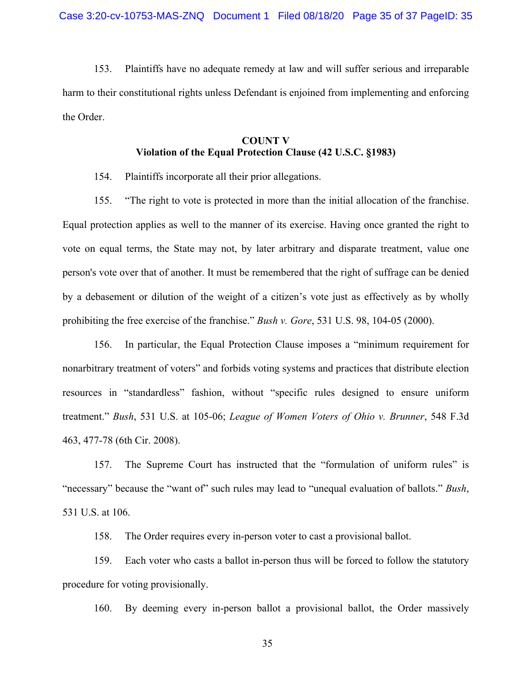153. Plaintiffs have no adequate remedy at law and will suffer serious and irreparable harm to their constitutional rights unless Defendant is enjoined from implementing and enforcing the Order.

# **COUNT V Violation of the Equal Protection Clause (42 U.S.C. §1983)**

154. Plaintiffs incorporate all their prior allegations.

155. "The right to vote is protected in more than the initial allocation of the franchise. Equal protection applies as well to the manner of its exercise. Having once granted the right to vote on equal terms, the State may not, by later arbitrary and disparate treatment, value one person's vote over that of another. It must be remembered that the right of suffrage can be denied by a debasement or dilution of the weight of a citizen's vote just as effectively as by wholly prohibiting the free exercise of the franchise." *Bush v. Gore*, 531 U.S. 98, 104-05 (2000).

156. In particular, the Equal Protection Clause imposes a "minimum requirement for nonarbitrary treatment of voters" and forbids voting systems and practices that distribute election resources in "standardless" fashion, without "specific rules designed to ensure uniform treatment." *Bush*, 531 U.S. at 105-06; *League of Women Voters of Ohio v. Brunner*, 548 F.3d 463, 477-78 (6th Cir. 2008).

157. The Supreme Court has instructed that the "formulation of uniform rules" is "necessary" because the "want of" such rules may lead to "unequal evaluation of ballots." *Bush*, 531 U.S. at 106.

158. The Order requires every in-person voter to cast a provisional ballot.

159. Each voter who casts a ballot in-person thus will be forced to follow the statutory procedure for voting provisionally.

160. By deeming every in-person ballot a provisional ballot, the Order massively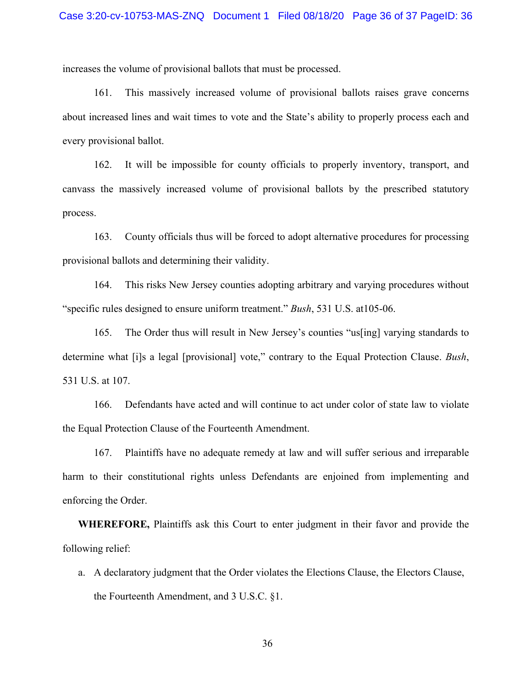increases the volume of provisional ballots that must be processed.

161. This massively increased volume of provisional ballots raises grave concerns about increased lines and wait times to vote and the State's ability to properly process each and every provisional ballot.

162. It will be impossible for county officials to properly inventory, transport, and canvass the massively increased volume of provisional ballots by the prescribed statutory process.

163. County officials thus will be forced to adopt alternative procedures for processing provisional ballots and determining their validity.

164. This risks New Jersey counties adopting arbitrary and varying procedures without "specific rules designed to ensure uniform treatment." *Bush*, 531 U.S. at105-06.

165. The Order thus will result in New Jersey's counties "us[ing] varying standards to determine what [i]s a legal [provisional] vote," contrary to the Equal Protection Clause. *Bush*, 531 U.S. at 107.

166. Defendants have acted and will continue to act under color of state law to violate the Equal Protection Clause of the Fourteenth Amendment.

167. Plaintiffs have no adequate remedy at law and will suffer serious and irreparable harm to their constitutional rights unless Defendants are enjoined from implementing and enforcing the Order.

**WHEREFORE,** Plaintiffs ask this Court to enter judgment in their favor and provide the following relief:

a. A declaratory judgment that the Order violates the Elections Clause, the Electors Clause, the Fourteenth Amendment, and 3 U.S.C. §1.